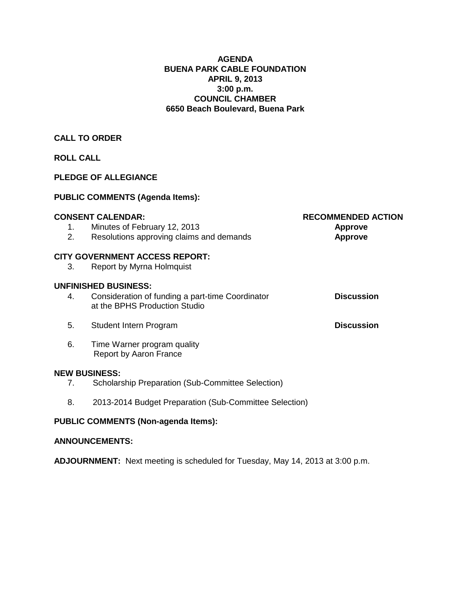#### **AGENDA BUENA PARK CABLE FOUNDATION APRIL 9, 2013 3:00 p.m. COUNCIL CHAMBER 6650 Beach Boulevard, Buena Park**

## **CALL TO ORDER**

## **ROLL CALL**

### **PLEDGE OF ALLEGIANCE**

## **PUBLIC COMMENTS (Agenda Items):**

|    | <b>CONSENT CALENDAR:</b>                                                          | <b>RECOMMENDED ACTION</b> |
|----|-----------------------------------------------------------------------------------|---------------------------|
| 1. | Minutes of February 12, 2013                                                      | <b>Approve</b>            |
| 2. | Resolutions approving claims and demands                                          | <b>Approve</b>            |
|    | <b>CITY GOVERNMENT ACCESS REPORT:</b>                                             |                           |
| 3. | Report by Myrna Holmquist                                                         |                           |
|    | <b>UNFINISHED BUSINESS:</b>                                                       |                           |
| 4. | Consideration of funding a part-time Coordinator<br>at the BPHS Production Studio | <b>Discussion</b>         |
| 5. | Student Intern Program                                                            | <b>Discussion</b>         |
| 6. | Time Warner program quality<br>Report by Aaron France                             |                           |
|    | <b>NEW BUSINESS:</b>                                                              |                           |
| 7. | Scholarship Preparation (Sub-Committee Selection)                                 |                           |
| 8. | 2013-2014 Budget Preparation (Sub-Committee Selection)                            |                           |
|    |                                                                                   |                           |

## **PUBLIC COMMENTS (Non-agenda Items):**

#### **ANNOUNCEMENTS:**

**ADJOURNMENT:** Next meeting is scheduled for Tuesday, May 14, 2013 at 3:00 p.m.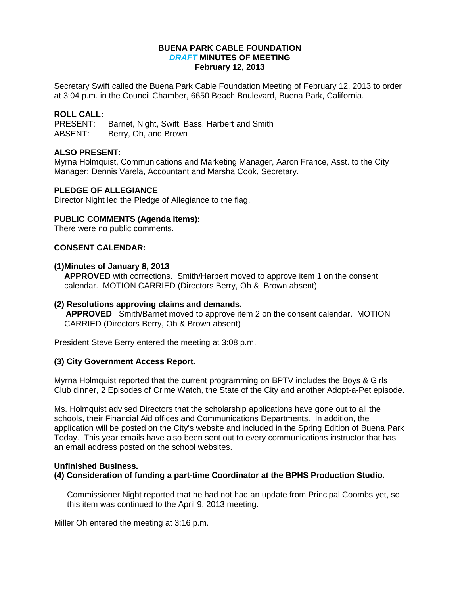#### **BUENA PARK CABLE FOUNDATION** *DRAFT* **MINUTES OF MEETING February 12, 2013**

Secretary Swift called the Buena Park Cable Foundation Meeting of February 12, 2013 to order at 3:04 p.m. in the Council Chamber, 6650 Beach Boulevard, Buena Park, California.

# **ROLL CALL:**

Barnet, Night, Swift, Bass, Harbert and Smith ABSENT: Berry, Oh, and Brown

#### **ALSO PRESENT:**

Myrna Holmquist, Communications and Marketing Manager, Aaron France, Asst. to the City Manager; Dennis Varela, Accountant and Marsha Cook, Secretary.

#### **PLEDGE OF ALLEGIANCE**

Director Night led the Pledge of Allegiance to the flag.

#### **PUBLIC COMMENTS (Agenda Items):**

There were no public comments.

#### **CONSENT CALENDAR:**

#### **(1)Minutes of January 8, 2013**

**APPROVED** with corrections. Smith/Harbert moved to approve item 1 on the consent calendar. MOTION CARRIED (Directors Berry, Oh & Brown absent)

#### **(2) Resolutions approving claims and demands.**

 **APPROVED** Smith/Barnet moved to approve item 2 on the consent calendar. MOTION CARRIED (Directors Berry, Oh & Brown absent)

President Steve Berry entered the meeting at 3:08 p.m.

#### **(3) City Government Access Report.**

Myrna Holmquist reported that the current programming on BPTV includes the Boys & Girls Club dinner, 2 Episodes of Crime Watch, the State of the City and another Adopt-a-Pet episode.

Ms. Holmquist advised Directors that the scholarship applications have gone out to all the schools, their Financial Aid offices and Communications Departments. In addition, the application will be posted on the City's website and included in the Spring Edition of Buena Park Today. This year emails have also been sent out to every communications instructor that has an email address posted on the school websites.

#### **Unfinished Business.**

**(4) Consideration of funding a part-time Coordinator at the BPHS Production Studio.** 

Commissioner Night reported that he had not had an update from Principal Coombs yet, so this item was continued to the April 9, 2013 meeting.

Miller Oh entered the meeting at 3:16 p.m.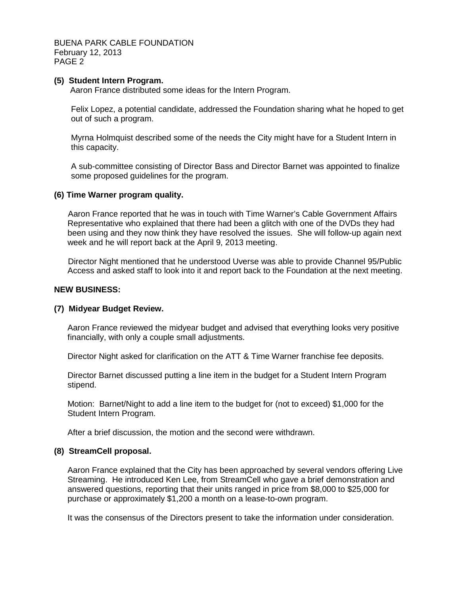BUENA PARK CABLE FOUNDATION February 12, 2013 PAGE 2

#### **(5) Student Intern Program.**

Aaron France distributed some ideas for the Intern Program.

Felix Lopez, a potential candidate, addressed the Foundation sharing what he hoped to get out of such a program.

Myrna Holmquist described some of the needs the City might have for a Student Intern in this capacity.

A sub-committee consisting of Director Bass and Director Barnet was appointed to finalize some proposed guidelines for the program.

#### **(6) Time Warner program quality.**

 Aaron France reported that he was in touch with Time Warner's Cable Government Affairs Representative who explained that there had been a glitch with one of the DVDs they had been using and they now think they have resolved the issues. She will follow-up again next week and he will report back at the April 9, 2013 meeting.

 Director Night mentioned that he understood Uverse was able to provide Channel 95/Public Access and asked staff to look into it and report back to the Foundation at the next meeting.

#### **NEW BUSINESS:**

#### **(7) Midyear Budget Review.**

Aaron France reviewed the midyear budget and advised that everything looks very positive financially, with only a couple small adjustments.

Director Night asked for clarification on the ATT & Time Warner franchise fee deposits.

Director Barnet discussed putting a line item in the budget for a Student Intern Program stipend.

Motion: Barnet/Night to add a line item to the budget for (not to exceed) \$1,000 for the Student Intern Program.

After a brief discussion, the motion and the second were withdrawn.

#### **(8) StreamCell proposal.**

Aaron France explained that the City has been approached by several vendors offering Live Streaming. He introduced Ken Lee, from StreamCell who gave a brief demonstration and answered questions, reporting that their units ranged in price from \$8,000 to \$25,000 for purchase or approximately \$1,200 a month on a lease-to-own program.

It was the consensus of the Directors present to take the information under consideration.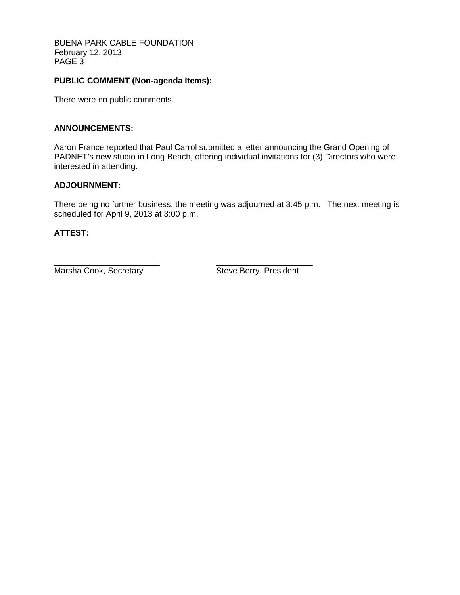BUENA PARK CABLE FOUNDATION February 12, 2013 PAGE 3

### **PUBLIC COMMENT (Non-agenda Items):**

There were no public comments.

#### **ANNOUNCEMENTS:**

Aaron France reported that Paul Carrol submitted a letter announcing the Grand Opening of PADNET's new studio in Long Beach, offering individual invitations for (3) Directors who were interested in attending.

#### **ADJOURNMENT:**

There being no further business, the meeting was adjourned at 3:45 p.m. The next meeting is scheduled for April 9, 2013 at 3:00 p.m.

#### **ATTEST:**

\_\_\_\_\_\_\_\_\_\_\_\_\_\_\_\_\_\_\_\_\_\_\_ \_\_\_\_\_\_\_\_\_\_\_\_\_\_\_\_\_\_\_\_\_ Marsha Cook, Secretary Steve Berry, President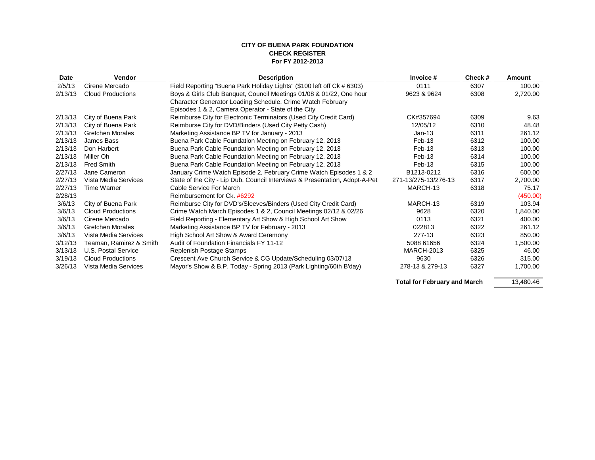#### **CITY OF BUENA PARK FOUNDATION CHECK REGISTER For FY 2012-2013**

| <b>Date</b> | Vendor                     | <b>Description</b>                                                          | Invoice #            | Check# | Amount   |
|-------------|----------------------------|-----------------------------------------------------------------------------|----------------------|--------|----------|
| 2/5/13      | Cirene Mercado             | Field Reporting "Buena Park Holiday Lights" (\$100 left off Ck # 6303)      | 0111                 | 6307   | 100.00   |
| 2/13/13     | <b>Cloud Productions</b>   | Boys & Girls Club Banquet, Council Meetings 01/08 & 01/22, One hour         | 9623 & 9624          | 6308   | 2,720.00 |
|             |                            | Character Generator Loading Schedule, Crime Watch February                  |                      |        |          |
|             |                            | Episodes 1 & 2, Camera Operator - State of the City                         |                      |        |          |
| 2/13/13     | City of Buena Park         | Reimburse City for Electronic Terminators (Used City Credit Card)           | CK#357694            | 6309   | 9.63     |
| 2/13/13     | City of Buena Park         | Reimburse City for DVD/Binders (Used City Petty Cash)                       | 12/05/12             | 6310   | 48.48    |
| 2/13/13     | <b>Gretchen Morales</b>    | Marketing Assistance BP TV for January - 2013                               | $Jan-13$             | 6311   | 261.12   |
| 2/13/13     | James Bass                 | Buena Park Cable Foundation Meeting on February 12, 2013                    | $Feb-13$             | 6312   | 100.00   |
| 2/13/13     | Don Harbert                | Buena Park Cable Foundation Meeting on February 12, 2013                    | Feb-13               | 6313   | 100.00   |
| 2/13/13     | Miller Oh                  | Buena Park Cable Foundation Meeting on February 12, 2013                    | Feb-13               | 6314   | 100.00   |
| 2/13/13     | Fred Smith                 | Buena Park Cable Foundation Meeting on February 12, 2013                    | $Feb-13$             | 6315   | 100.00   |
| 2/27/13     | Jane Cameron               | January Crime Watch Episode 2, February Crime Watch Episodes 1 & 2          | B1213-0212           | 6316   | 600.00   |
| 2/27/13     | Vista Media Services       | State of the City - Lip Dub, Council Interviews & Presentation, Adopt-A-Pet | 271-13/275-13/276-13 | 6317   | 2,700.00 |
| 2/27/13     | Time Warner                | Cable Service For March                                                     | MARCH-13             | 6318   | 75.17    |
| 2/28/13     |                            | Reimbursement for Ck. #6292                                                 |                      |        | (450.00) |
| 3/6/13      | City of Buena Park         | Reimburse City for DVD's/Sleeves/Binders (Used City Credit Card)            | MARCH-13             | 6319   | 103.94   |
| 3/6/13      | <b>Cloud Productions</b>   | Crime Watch March Episodes 1 & 2, Council Meetings 02/12 & 02/26            | 9628                 | 6320   | 1,840.00 |
| 3/6/13      | Cirene Mercado             | Field Reporting - Elementary Art Show & High School Art Show                | 0113                 | 6321   | 400.00   |
| 3/6/13      | <b>Gretchen Morales</b>    | Marketing Assistance BP TV for February - 2013                              | 022813               | 6322   | 261.12   |
| 3/6/13      | Vista Media Services       | High School Art Show & Award Ceremony                                       | 277-13               | 6323   | 850.00   |
| 3/12/13     | Teaman, Ramirez & Smith    | Audit of Foundation Financials FY 11-12                                     | 5088 61656           | 6324   | 1,500.00 |
| 3/13/13     | <b>U.S. Postal Service</b> | Replenish Postage Stamps                                                    | <b>MARCH-2013</b>    | 6325   | 46.00    |
| 3/19/13     | <b>Cloud Productions</b>   | Crescent Ave Church Service & CG Update/Scheduling 03/07/13                 | 9630                 | 6326   | 315.00   |
| 3/26/13     | Vista Media Services       | Mayor's Show & B.P. Today - Spring 2013 (Park Lighting/60th B'day)          | 278-13 & 279-13      | 6327   | 1,700.00 |
|             |                            |                                                                             |                      |        |          |

Total for February and March 13,480.46